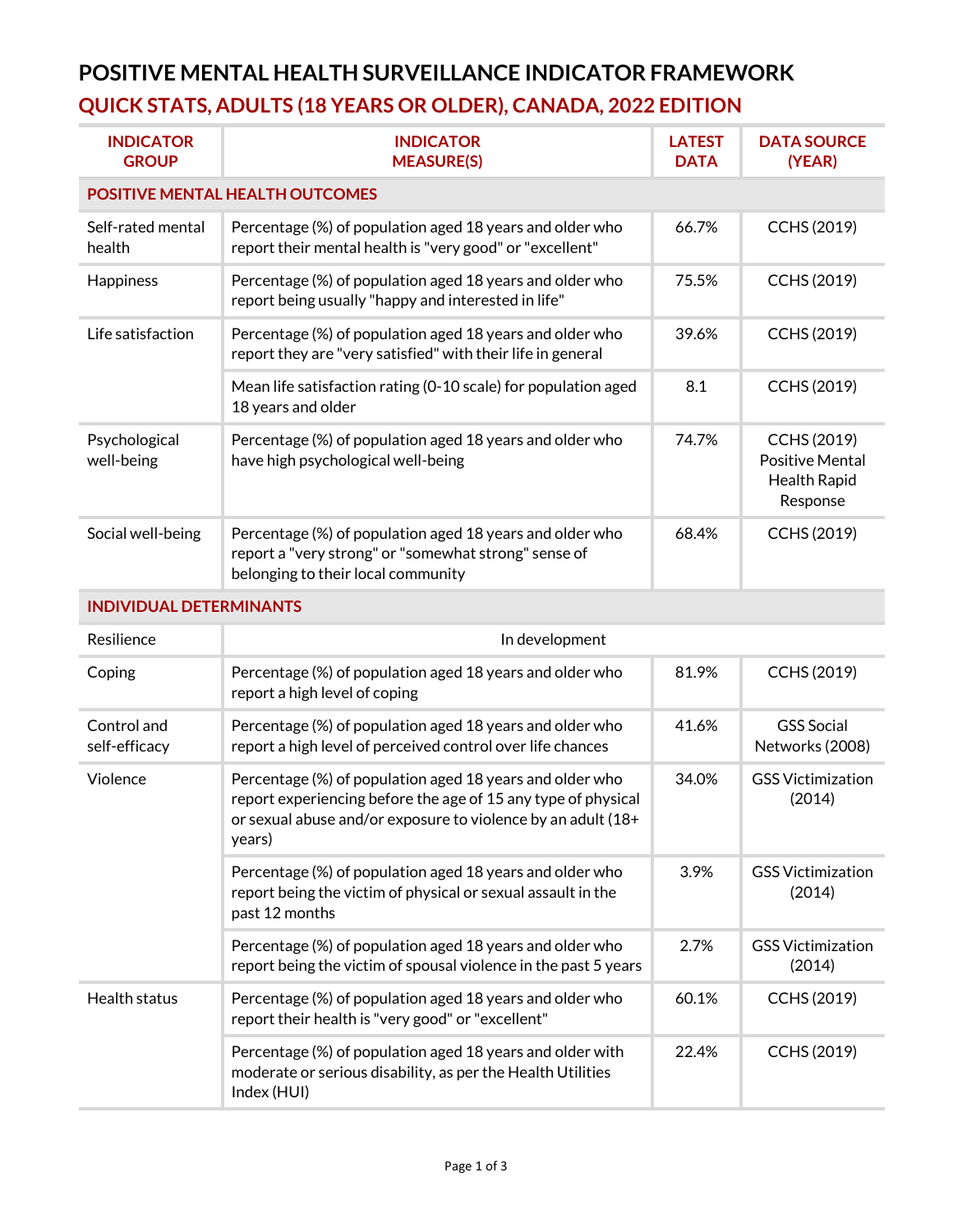## **POSITIVE MENTAL HEALTH SURVEILLANCE INDICATOR FRAMEWORK QUICK STATS, ADULTS (18 YEARS OR OLDER), CANADA, 2022 EDITION**

| <b>INDICATOR</b><br><b>GROUP</b>       | <b>INDICATOR</b><br><b>MEASURE(S)</b>                                                                                                                                                               | <b>LATEST</b><br><b>DATA</b> | <b>DATA SOURCE</b><br>(YEAR)                                      |  |  |  |
|----------------------------------------|-----------------------------------------------------------------------------------------------------------------------------------------------------------------------------------------------------|------------------------------|-------------------------------------------------------------------|--|--|--|
| <b>POSITIVE MENTAL HEALTH OUTCOMES</b> |                                                                                                                                                                                                     |                              |                                                                   |  |  |  |
| Self-rated mental<br>health            | Percentage (%) of population aged 18 years and older who<br>report their mental health is "very good" or "excellent"                                                                                | 66.7%                        | CCHS (2019)                                                       |  |  |  |
| Happiness                              | Percentage (%) of population aged 18 years and older who<br>report being usually "happy and interested in life"                                                                                     | 75.5%                        | CCHS (2019)                                                       |  |  |  |
| Life satisfaction                      | Percentage (%) of population aged 18 years and older who<br>report they are "very satisfied" with their life in general                                                                             | 39.6%                        | CCHS (2019)                                                       |  |  |  |
|                                        | Mean life satisfaction rating (0-10 scale) for population aged<br>18 years and older                                                                                                                | 8.1                          | CCHS (2019)                                                       |  |  |  |
| Psychological<br>well-being            | Percentage (%) of population aged 18 years and older who<br>have high psychological well-being                                                                                                      | 74.7%                        | CCHS (2019)<br><b>Positive Mental</b><br>Health Rapid<br>Response |  |  |  |
| Social well-being                      | Percentage (%) of population aged 18 years and older who<br>report a "very strong" or "somewhat strong" sense of<br>belonging to their local community                                              | 68.4%                        | CCHS (2019)                                                       |  |  |  |
| <b>INDIVIDUAL DETERMINANTS</b>         |                                                                                                                                                                                                     |                              |                                                                   |  |  |  |
| Resilience                             | In development                                                                                                                                                                                      |                              |                                                                   |  |  |  |
| Coping                                 | Percentage (%) of population aged 18 years and older who<br>report a high level of coping                                                                                                           | 81.9%                        | CCHS (2019)                                                       |  |  |  |
| Control and<br>self-efficacy           | Percentage (%) of population aged 18 years and older who<br>report a high level of perceived control over life chances                                                                              | 41.6%                        | <b>GSS Social</b><br>Networks (2008)                              |  |  |  |
| Violence                               | Percentage (%) of population aged 18 years and older who<br>report experiencing before the age of 15 any type of physical<br>or sexual abuse and/or exposure to violence by an adult (18+<br>years) | 34.0%                        | <b>GSS Victimization</b><br>(2014)                                |  |  |  |
|                                        | Percentage (%) of population aged 18 years and older who<br>report being the victim of physical or sexual assault in the<br>past 12 months                                                          | 3.9%                         | <b>GSS Victimization</b><br>(2014)                                |  |  |  |
|                                        | Percentage (%) of population aged 18 years and older who<br>report being the victim of spousal violence in the past 5 years                                                                         | 2.7%                         | <b>GSS Victimization</b><br>(2014)                                |  |  |  |
| Health status                          | Percentage (%) of population aged 18 years and older who<br>report their health is "very good" or "excellent"                                                                                       | 60.1%                        | CCHS (2019)                                                       |  |  |  |
|                                        | Percentage (%) of population aged 18 years and older with<br>moderate or serious disability, as per the Health Utilities<br>Index (HUI)                                                             | 22.4%                        | CCHS (2019)                                                       |  |  |  |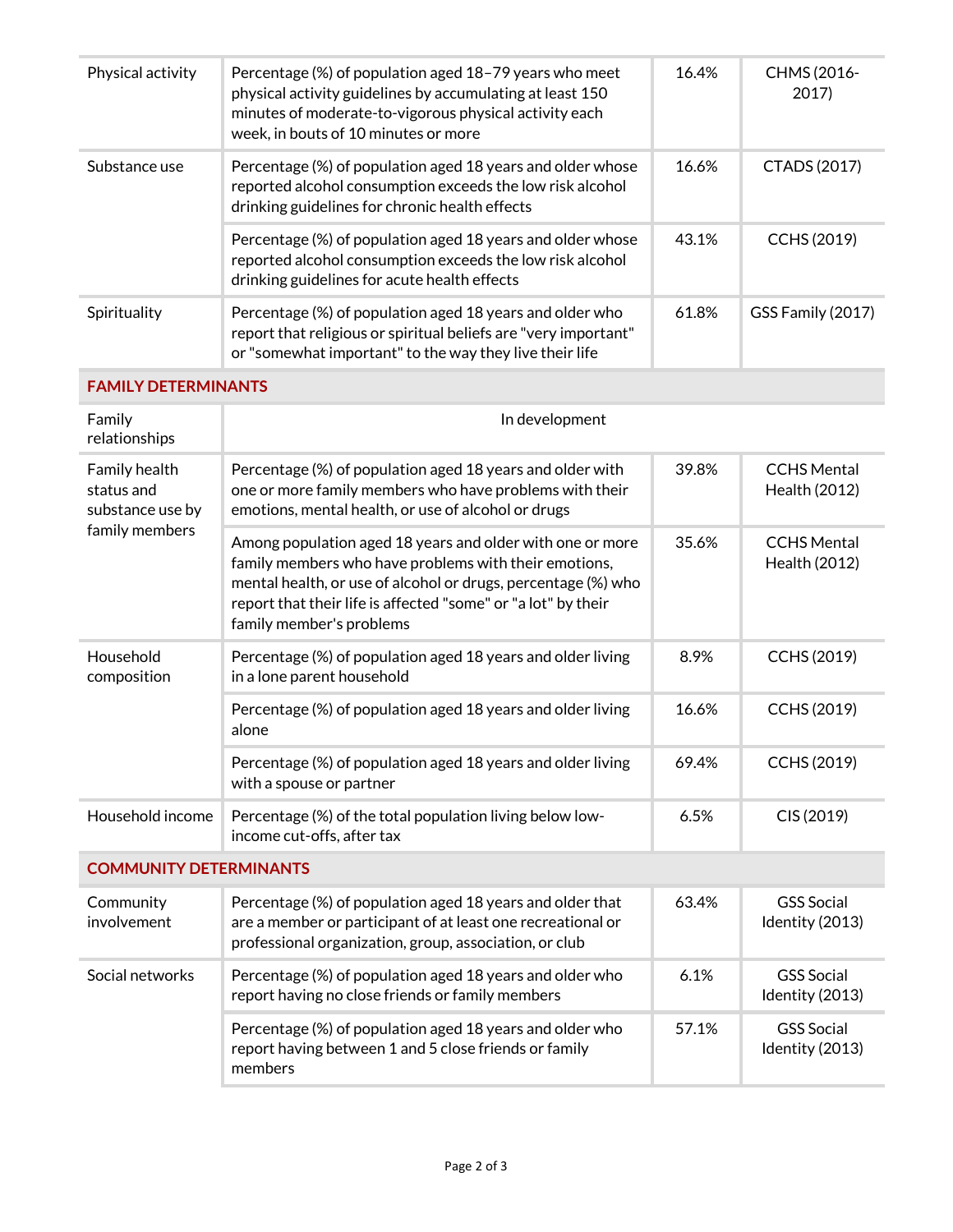| Physical activity                                                 | Percentage (%) of population aged 18-79 years who meet<br>physical activity guidelines by accumulating at least 150<br>minutes of moderate-to-vigorous physical activity each<br>week, in bouts of 10 minutes or more                                                            | 16.4% | CHMS (2016-<br>2017                  |  |
|-------------------------------------------------------------------|----------------------------------------------------------------------------------------------------------------------------------------------------------------------------------------------------------------------------------------------------------------------------------|-------|--------------------------------------|--|
| Substance use                                                     | Percentage (%) of population aged 18 years and older whose<br>reported alcohol consumption exceeds the low risk alcohol<br>drinking guidelines for chronic health effects                                                                                                        | 16.6% | CTADS (2017)                         |  |
|                                                                   | Percentage (%) of population aged 18 years and older whose<br>reported alcohol consumption exceeds the low risk alcohol<br>drinking guidelines for acute health effects                                                                                                          | 43.1% | CCHS (2019)                          |  |
| Spirituality                                                      | Percentage (%) of population aged 18 years and older who<br>report that religious or spiritual beliefs are "very important"<br>or "somewhat important" to the way they live their life                                                                                           | 61.8% | GSS Family (2017)                    |  |
| <b>FAMILY DETERMINANTS</b>                                        |                                                                                                                                                                                                                                                                                  |       |                                      |  |
| Family<br>relationships                                           | In development                                                                                                                                                                                                                                                                   |       |                                      |  |
| Family health<br>status and<br>substance use by<br>family members | Percentage (%) of population aged 18 years and older with<br>one or more family members who have problems with their<br>emotions, mental health, or use of alcohol or drugs                                                                                                      | 39.8% | <b>CCHS Mental</b><br>Health (2012)  |  |
|                                                                   | Among population aged 18 years and older with one or more<br>family members who have problems with their emotions,<br>mental health, or use of alcohol or drugs, percentage (%) who<br>report that their life is affected "some" or "a lot" by their<br>family member's problems | 35.6% | <b>CCHS Mental</b><br>Health (2012)  |  |
| Household<br>composition                                          | Percentage (%) of population aged 18 years and older living<br>in a lone parent household                                                                                                                                                                                        | 8.9%  | CCHS (2019)                          |  |
|                                                                   | Percentage (%) of population aged 18 years and older living<br>alone                                                                                                                                                                                                             | 16.6% | CCHS (2019)                          |  |
|                                                                   | Percentage (%) of population aged 18 years and older living<br>with a spouse or partner                                                                                                                                                                                          | 69.4% | CCHS (2019)                          |  |
| Household income                                                  | Percentage (%) of the total population living below low-<br>income cut-offs, after tax                                                                                                                                                                                           | 6.5%  | CIS (2019)                           |  |
| <b>COMMUNITY DETERMINANTS</b>                                     |                                                                                                                                                                                                                                                                                  |       |                                      |  |
| Community<br>involvement                                          | Percentage (%) of population aged 18 years and older that<br>are a member or participant of at least one recreational or<br>professional organization, group, association, or club                                                                                               | 63.4% | <b>GSS</b> Social<br>Identity (2013) |  |
| Social networks                                                   | Percentage (%) of population aged 18 years and older who<br>report having no close friends or family members                                                                                                                                                                     | 6.1%  | <b>GSS Social</b><br>Identity (2013) |  |
|                                                                   | Percentage (%) of population aged 18 years and older who<br>report having between 1 and 5 close friends or family<br>members                                                                                                                                                     | 57.1% | <b>GSS Social</b><br>Identity (2013) |  |